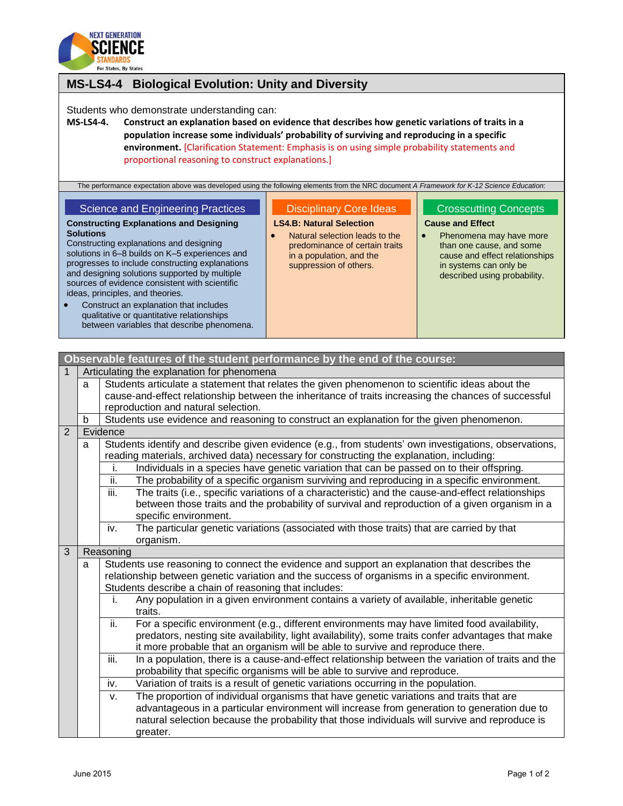

| For States, By States                                                                                                                                                                                                                                                                                                                                                                                                                                                                          |                                                                                                                                                           |                                                                                                                                                                            |  |  |  |  |
|------------------------------------------------------------------------------------------------------------------------------------------------------------------------------------------------------------------------------------------------------------------------------------------------------------------------------------------------------------------------------------------------------------------------------------------------------------------------------------------------|-----------------------------------------------------------------------------------------------------------------------------------------------------------|----------------------------------------------------------------------------------------------------------------------------------------------------------------------------|--|--|--|--|
| <b>MS-LS4-4</b><br><b>Biological Evolution: Unity and Diversity</b>                                                                                                                                                                                                                                                                                                                                                                                                                            |                                                                                                                                                           |                                                                                                                                                                            |  |  |  |  |
| Students who demonstrate understanding can:<br><b>MS-LS4-4.</b><br>Construct an explanation based on evidence that describes how genetic variations of traits in a<br>population increase some individuals' probability of surviving and reproducing in a specific<br>environment. [Clarification Statement: Emphasis is on using simple probability statements and<br>proportional reasoning to construct explanations.]                                                                      |                                                                                                                                                           |                                                                                                                                                                            |  |  |  |  |
| The performance expectation above was developed using the following elements from the NRC document A Framework for K-12 Science Education:<br><b>Science and Engineering Practices</b><br><b>Disciplinary Core Ideas</b><br><b>Crosscutting Concepts</b>                                                                                                                                                                                                                                       |                                                                                                                                                           |                                                                                                                                                                            |  |  |  |  |
| <b>Constructing Explanations and Designing</b><br><b>Solutions</b><br>Constructing explanations and designing<br>solutions in 6-8 builds on K-5 experiences and<br>progresses to include constructing explanations<br>and designing solutions supported by multiple<br>sources of evidence consistent with scientific<br>ideas, principles, and theories.<br>Construct an explanation that includes<br>qualitative or quantitative relationships<br>between variables that describe phenomena. | <b>LS4.B: Natural Selection</b><br>Natural selection leads to the<br>predominance of certain traits<br>in a population, and the<br>suppression of others. | <b>Cause and Effect</b><br>Phenomena may have more<br>than one cause, and some<br>cause and effect relationships<br>in systems can only be<br>described using probability. |  |  |  |  |

|   | Observable features of the student performance by the end of the course: |                                                                                                                                                         |  |  |  |
|---|--------------------------------------------------------------------------|---------------------------------------------------------------------------------------------------------------------------------------------------------|--|--|--|
| 1 | Articulating the explanation for phenomena                               |                                                                                                                                                         |  |  |  |
|   | a                                                                        | Students articulate a statement that relates the given phenomenon to scientific ideas about the                                                         |  |  |  |
|   |                                                                          | cause-and-effect relationship between the inheritance of traits increasing the chances of successful                                                    |  |  |  |
|   |                                                                          | reproduction and natural selection.                                                                                                                     |  |  |  |
|   | b                                                                        | Students use evidence and reasoning to construct an explanation for the given phenomenon.                                                               |  |  |  |
| 2 |                                                                          | Evidence                                                                                                                                                |  |  |  |
|   | a                                                                        | Students identify and describe given evidence (e.g., from students' own investigations, observations,                                                   |  |  |  |
|   |                                                                          | reading materials, archived data) necessary for constructing the explanation, including:                                                                |  |  |  |
|   |                                                                          | Individuals in a species have genetic variation that can be passed on to their offspring.<br>i.                                                         |  |  |  |
|   |                                                                          | The probability of a specific organism surviving and reproducing in a specific environment.<br>ii.                                                      |  |  |  |
|   |                                                                          | iii.<br>The traits (i.e., specific variations of a characteristic) and the cause-and-effect relationships                                               |  |  |  |
|   |                                                                          | between those traits and the probability of survival and reproduction of a given organism in a                                                          |  |  |  |
|   |                                                                          | specific environment.                                                                                                                                   |  |  |  |
|   |                                                                          | The particular genetic variations (associated with those traits) that are carried by that<br>iv.                                                        |  |  |  |
| 3 |                                                                          | organism.                                                                                                                                               |  |  |  |
|   |                                                                          | Reasoning                                                                                                                                               |  |  |  |
|   | a                                                                        | Students use reasoning to connect the evidence and support an explanation that describes the                                                            |  |  |  |
|   |                                                                          | relationship between genetic variation and the success of organisms in a specific environment.<br>Students describe a chain of reasoning that includes: |  |  |  |
|   |                                                                          | Any population in a given environment contains a variety of available, inheritable genetic<br>j.                                                        |  |  |  |
|   |                                                                          | traits.                                                                                                                                                 |  |  |  |
|   |                                                                          | ii.<br>For a specific environment (e.g., different environments may have limited food availability,                                                     |  |  |  |
|   |                                                                          | predators, nesting site availability, light availability), some traits confer advantages that make                                                      |  |  |  |
|   |                                                                          | it more probable that an organism will be able to survive and reproduce there.                                                                          |  |  |  |
|   |                                                                          | iii.<br>In a population, there is a cause-and-effect relationship between the variation of traits and the                                               |  |  |  |
|   |                                                                          | probability that specific organisms will be able to survive and reproduce.                                                                              |  |  |  |
|   |                                                                          | iv.<br>Variation of traits is a result of genetic variations occurring in the population.                                                               |  |  |  |
|   |                                                                          | The proportion of individual organisms that have genetic variations and traits that are<br>V.                                                           |  |  |  |
|   |                                                                          | advantageous in a particular environment will increase from generation to generation due to                                                             |  |  |  |
|   |                                                                          | natural selection because the probability that those individuals will survive and reproduce is                                                          |  |  |  |
|   |                                                                          | greater.                                                                                                                                                |  |  |  |
|   |                                                                          |                                                                                                                                                         |  |  |  |